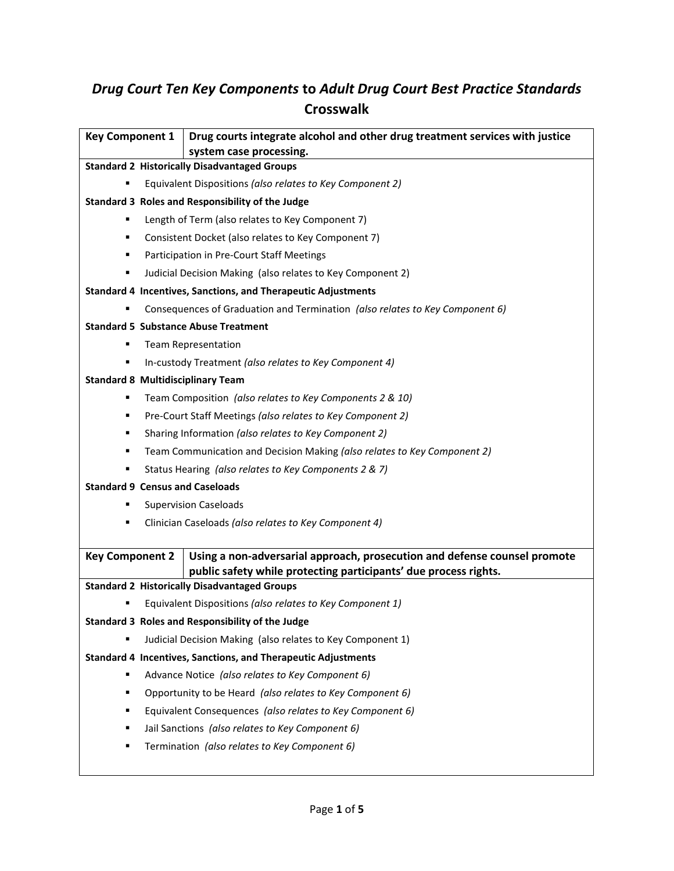# *Drug Court Ten Key Components* **to** *Adult Drug Court Best Practice Standards* **Crosswalk**

| <b>Key Component 1</b>                                                       | Drug courts integrate alcohol and other drug treatment services with justice<br>system case processing. |  |
|------------------------------------------------------------------------------|---------------------------------------------------------------------------------------------------------|--|
| <b>Standard 2 Historically Disadvantaged Groups</b>                          |                                                                                                         |  |
| Equivalent Dispositions (also relates to Key Component 2)                    |                                                                                                         |  |
| Standard 3 Roles and Responsibility of the Judge                             |                                                                                                         |  |
| Length of Term (also relates to Key Component 7)                             |                                                                                                         |  |
| Consistent Docket (also relates to Key Component 7)<br>٠                     |                                                                                                         |  |
| Participation in Pre-Court Staff Meetings<br>٠                               |                                                                                                         |  |
| Judicial Decision Making (also relates to Key Component 2)<br>٠              |                                                                                                         |  |
| <b>Standard 4 Incentives, Sanctions, and Therapeutic Adjustments</b>         |                                                                                                         |  |
| Consequences of Graduation and Termination (also relates to Key Component 6) |                                                                                                         |  |
| <b>Standard 5 Substance Abuse Treatment</b>                                  |                                                                                                         |  |
| <b>Team Representation</b>                                                   |                                                                                                         |  |
| In-custody Treatment (also relates to Key Component 4)                       |                                                                                                         |  |
| <b>Standard 8 Multidisciplinary Team</b>                                     |                                                                                                         |  |
| п                                                                            | Team Composition (also relates to Key Components 2 & 10)                                                |  |
| ٠                                                                            | Pre-Court Staff Meetings (also relates to Key Component 2)                                              |  |
| ٠                                                                            | Sharing Information (also relates to Key Component 2)                                                   |  |
| ٠                                                                            | Team Communication and Decision Making (also relates to Key Component 2)                                |  |
| п                                                                            | Status Hearing (also relates to Key Components 2 & 7)                                                   |  |
| <b>Standard 9 Census and Caseloads</b>                                       |                                                                                                         |  |
|                                                                              | <b>Supervision Caseloads</b>                                                                            |  |
| Clinician Caseloads (also relates to Key Component 4)<br>٠                   |                                                                                                         |  |
| <b>Key Component 2</b>                                                       | Using a non-adversarial approach, prosecution and defense counsel promote                               |  |
|                                                                              | public safety while protecting participants' due process rights.                                        |  |
|                                                                              | <b>Standard 2 Historically Disadvantaged Groups</b>                                                     |  |
|                                                                              | Equivalent Dispositions (also relates to Key Component 1)                                               |  |
|                                                                              | Standard 3 Roles and Responsibility of the Judge                                                        |  |
|                                                                              | Judicial Decision Making (also relates to Key Component 1)                                              |  |
| <b>Standard 4 Incentives, Sanctions, and Therapeutic Adjustments</b>         |                                                                                                         |  |
| Advance Notice (also relates to Key Component 6)<br>п                        |                                                                                                         |  |
| Opportunity to be Heard (also relates to Key Component 6)<br>٠               |                                                                                                         |  |
| Equivalent Consequences (also relates to Key Component 6)<br>п               |                                                                                                         |  |
| Jail Sanctions (also relates to Key Component 6)<br>٠                        |                                                                                                         |  |
| Termination (also relates to Key Component 6)<br>٠                           |                                                                                                         |  |
|                                                                              |                                                                                                         |  |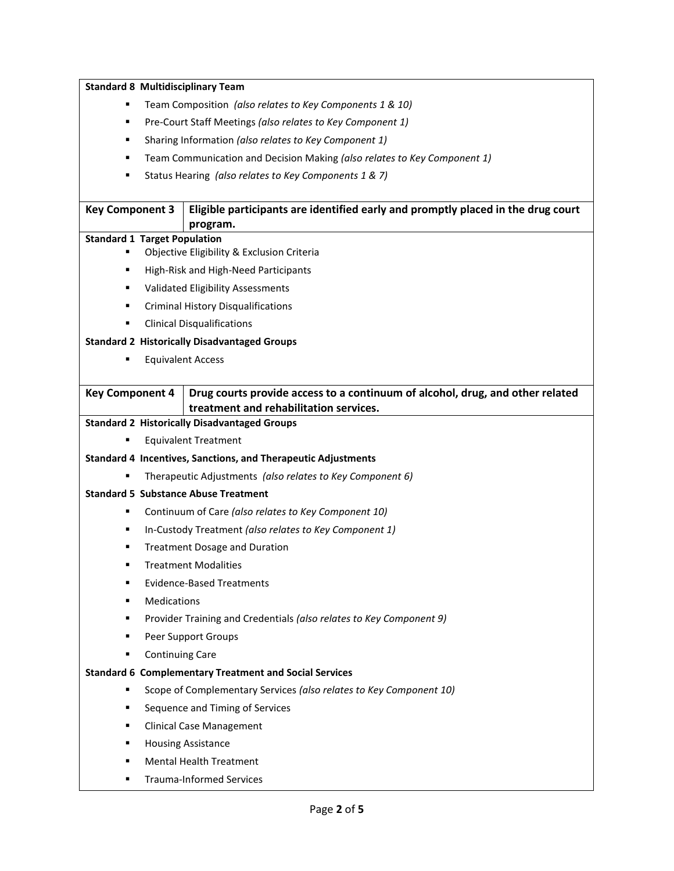| <b>Standard 8 Multidisciplinary Team</b>                                      |                                                                                                                         |  |
|-------------------------------------------------------------------------------|-------------------------------------------------------------------------------------------------------------------------|--|
| п                                                                             | Team Composition (also relates to Key Components 1 & 10)                                                                |  |
| Pre-Court Staff Meetings (also relates to Key Component 1)<br>٠               |                                                                                                                         |  |
| Sharing Information (also relates to Key Component 1)<br>٠                    |                                                                                                                         |  |
| Team Communication and Decision Making (also relates to Key Component 1)<br>٠ |                                                                                                                         |  |
| Status Hearing (also relates to Key Components 1 & 7)<br>٠                    |                                                                                                                         |  |
|                                                                               |                                                                                                                         |  |
| <b>Key Component 3</b>                                                        | Eligible participants are identified early and promptly placed in the drug court<br>program.                            |  |
| <b>Standard 1 Target Population</b>                                           |                                                                                                                         |  |
| Objective Eligibility & Exclusion Criteria                                    |                                                                                                                         |  |
| High-Risk and High-Need Participants<br>٠                                     |                                                                                                                         |  |
| Validated Eligibility Assessments<br>٠                                        |                                                                                                                         |  |
| <b>Criminal History Disqualifications</b><br>٠                                |                                                                                                                         |  |
| <b>Clinical Disqualifications</b><br>п                                        |                                                                                                                         |  |
| <b>Standard 2 Historically Disadvantaged Groups</b>                           |                                                                                                                         |  |
| <b>Equivalent Access</b><br>٠                                                 |                                                                                                                         |  |
|                                                                               |                                                                                                                         |  |
| <b>Key Component 4</b>                                                        | Drug courts provide access to a continuum of alcohol, drug, and other related<br>treatment and rehabilitation services. |  |
|                                                                               | <b>Standard 2 Historically Disadvantaged Groups</b>                                                                     |  |
|                                                                               | <b>Equivalent Treatment</b>                                                                                             |  |
|                                                                               | <b>Standard 4 Incentives, Sanctions, and Therapeutic Adjustments</b>                                                    |  |
|                                                                               | Therapeutic Adjustments (also relates to Key Component 6)                                                               |  |
| <b>Standard 5 Substance Abuse Treatment</b>                                   |                                                                                                                         |  |
| ٠                                                                             | Continuum of Care (also relates to Key Component 10)                                                                    |  |
| ٠                                                                             | In-Custody Treatment (also relates to Key Component 1)                                                                  |  |
| ٠                                                                             | <b>Treatment Dosage and Duration</b>                                                                                    |  |
| <b>Treatment Modalities</b>                                                   |                                                                                                                         |  |
| <b>Evidence-Based Treatments</b><br>٠                                         |                                                                                                                         |  |
| Medications<br>п                                                              |                                                                                                                         |  |
| Provider Training and Credentials (also relates to Key Component 9)<br>٠      |                                                                                                                         |  |
| Peer Support Groups<br>٠                                                      |                                                                                                                         |  |
| <b>Continuing Care</b><br>٠                                                   |                                                                                                                         |  |
|                                                                               | <b>Standard 6 Complementary Treatment and Social Services</b>                                                           |  |
| ٠                                                                             | Scope of Complementary Services (also relates to Key Component 10)                                                      |  |
| ٠                                                                             | Sequence and Timing of Services                                                                                         |  |
| ٠                                                                             | <b>Clinical Case Management</b>                                                                                         |  |
| п                                                                             | <b>Housing Assistance</b>                                                                                               |  |
| ٠                                                                             | <b>Mental Health Treatment</b>                                                                                          |  |
| ٠                                                                             | <b>Trauma-Informed Services</b>                                                                                         |  |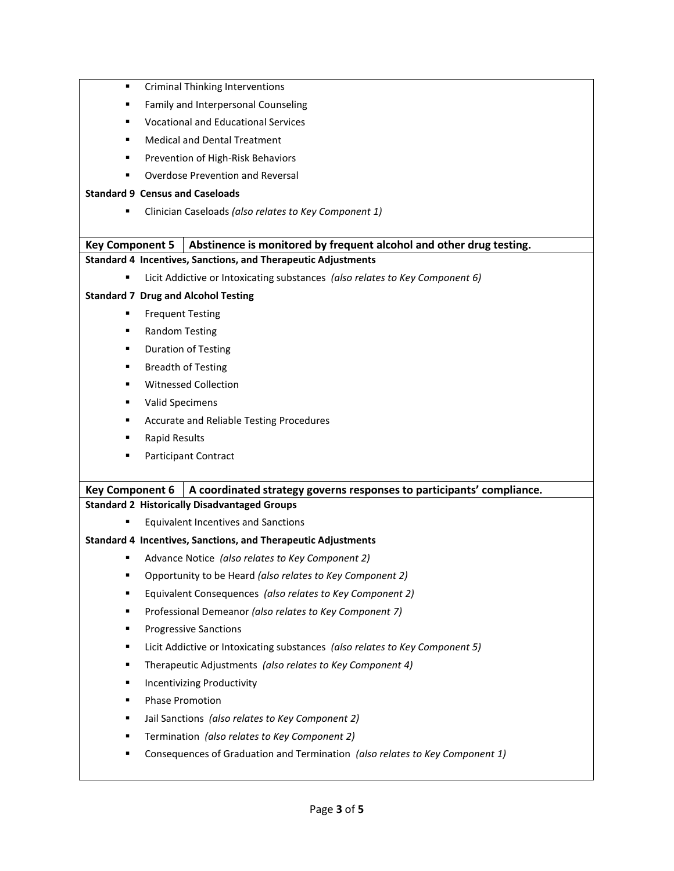- **•** Criminal Thinking Interventions
- **Family and Interpersonal Counseling**
- Vocational and Educational Services
- Medical and Dental Treatment
- Prevention of High-Risk Behaviors
- Overdose Prevention and Reversal

#### **Standard 9 Census and Caseloads**

Clinician Caseloads *(also relates to Key Component 1)*

## **Key Component 5 Abstinence is monitored by frequent alcohol and other drug testing.**

## **Standard 4 Incentives, Sanctions, and Therapeutic Adjustments**

Licit Addictive or Intoxicating substances *(also relates to Key Component 6)*

## **Standard 7 Drug and Alcohol Testing**

- Frequent Testing
- Random Testing
- Duration of Testing
- Breadth of Testing
- **Witnessed Collection**
- **UPILE:** Valid Specimens
- **EXECUTE:** Accurate and Reliable Testing Procedures
- Rapid Results
- Participant Contract

## **Key Component 6 A coordinated strategy governs responses to participants' compliance.**

#### **Standard 2 Historically Disadvantaged Groups**

Equivalent Incentives and Sanctions

#### **Standard 4 Incentives, Sanctions, and Therapeutic Adjustments**

- Advance Notice *(also relates to Key Component 2)*
- Opportunity to be Heard *(also relates to Key Component 2)*
- Equivalent Consequences *(also relates to Key Component 2)*
- Professional Demeanor *(also relates to Key Component 7)*
- **Progressive Sanctions**
- Licit Addictive or Intoxicating substances *(also relates to Key Component 5)*
- Therapeutic Adjustments *(also relates to Key Component 4)*
- **Incentivizing Productivity**
- Phase Promotion
- Jail Sanctions *(also relates to Key Component 2)*
- Termination *(also relates to Key Component 2)*
- Consequences of Graduation and Termination *(also relates to Key Component 1)*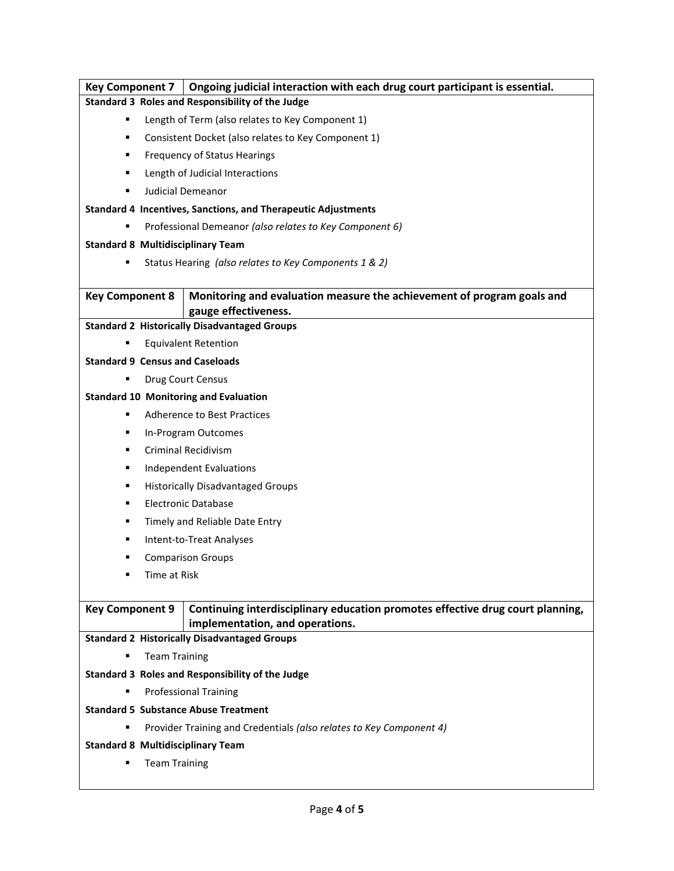| <b>Key Component 7</b>                                              | Ongoing judicial interaction with each drug court participant is essential.    |  |
|---------------------------------------------------------------------|--------------------------------------------------------------------------------|--|
|                                                                     | Standard 3 Roles and Responsibility of the Judge                               |  |
| Length of Term (also relates to Key Component 1)<br>٠               |                                                                                |  |
| Consistent Docket (also relates to Key Component 1)<br>٠            |                                                                                |  |
| <b>Frequency of Status Hearings</b><br>٠                            |                                                                                |  |
| Length of Judicial Interactions<br>٠                                |                                                                                |  |
| Judicial Demeanor<br>٠                                              |                                                                                |  |
|                                                                     | Standard 4 Incentives, Sanctions, and Therapeutic Adjustments                  |  |
| Professional Demeanor (also relates to Key Component 6)             |                                                                                |  |
| <b>Standard 8 Multidisciplinary Team</b>                            |                                                                                |  |
|                                                                     | Status Hearing (also relates to Key Components 1 & 2)                          |  |
|                                                                     |                                                                                |  |
| <b>Key Component 8</b>                                              | Monitoring and evaluation measure the achievement of program goals and         |  |
|                                                                     | gauge effectiveness.                                                           |  |
| <b>Standard 2 Historically Disadvantaged Groups</b>                 |                                                                                |  |
| <b>Equivalent Retention</b>                                         |                                                                                |  |
| <b>Standard 9 Census and Caseloads</b>                              |                                                                                |  |
|                                                                     | Drug Court Census                                                              |  |
| <b>Standard 10 Monitoring and Evaluation</b>                        |                                                                                |  |
| ٠                                                                   | <b>Adherence to Best Practices</b>                                             |  |
| ٠                                                                   | In-Program Outcomes                                                            |  |
| ٠                                                                   | <b>Criminal Recidivism</b>                                                     |  |
| ٠                                                                   | <b>Independent Evaluations</b>                                                 |  |
| ٠                                                                   | <b>Historically Disadvantaged Groups</b>                                       |  |
| ٠                                                                   | <b>Electronic Database</b>                                                     |  |
| Timely and Reliable Date Entry<br>٠                                 |                                                                                |  |
| Intent-to-Treat Analyses<br>٠                                       |                                                                                |  |
| ٠                                                                   | <b>Comparison Groups</b>                                                       |  |
| Time at Risk<br>٠                                                   |                                                                                |  |
|                                                                     |                                                                                |  |
| <b>Key Component 9</b>                                              | Continuing interdisciplinary education promotes effective drug court planning, |  |
|                                                                     | implementation, and operations.                                                |  |
| <b>Standard 2 Historically Disadvantaged Groups</b>                 |                                                                                |  |
| <b>Team Training</b><br>٠                                           |                                                                                |  |
| Standard 3 Roles and Responsibility of the Judge                    |                                                                                |  |
| <b>Professional Training</b>                                        |                                                                                |  |
| <b>Standard 5 Substance Abuse Treatment</b>                         |                                                                                |  |
| Provider Training and Credentials (also relates to Key Component 4) |                                                                                |  |
| <b>Standard 8 Multidisciplinary Team</b>                            |                                                                                |  |
| <b>Team Training</b>                                                |                                                                                |  |
|                                                                     |                                                                                |  |